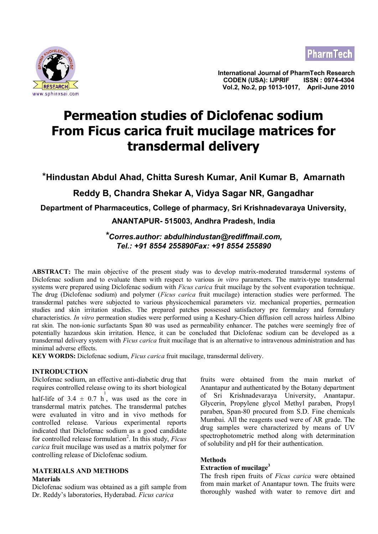



**International Journal of PharmTech Research CODEN (USA): IJPRIF ISSN : 0974-4304 The Search Search Search Search Search Search Search Search Search Search Search Search Search Search Search Se**<br>www.sphinxsai.com

# **Permeation studies of Diclofenac sodium From Ficus carica fruit mucilage matrices for transdermal delivery**

\***Hindustan Abdul Ahad, Chitta Suresh Kumar, Anil Kumar B, Amarnath**

# **Reddy B, Chandra Shekar A, Vidya Sagar NR, Gangadhar**

**Department of Pharmaceutics, College of pharmacy, Sri Krishnadevaraya University,**

# **ANANTAPUR- 515003, Andhra Pradesh, India**

# *\*Corres.author: abdulhindustan@rediffmail.com, Tel.: +91 8554 255890Fax: +91 8554 255890*

**ABSTRACT:** The main objective of the present study was to develop matrix-moderated transdermal systems of Diclofenac sodium and to evaluate them with respect to various *in vitro* parameters. The matrix-type transdermal systems were prepared using Diclofenac sodium with *Ficus carica* fruit mucilage by the solvent evaporation technique. The drug (Diclofenac sodium) and polymer (*Ficus carica* fruit mucilage) interaction studies were performed. The transdermal patches were subjected to various physicochemical parameters viz. mechanical properties, permeation studies and skin irritation studies. The prepared patches possessed satisfactory pre formulary and formulary characteristics. *In vitro* permeation studies were performed using a Keshary-Chien diffusion cell across hairless Albino rat skin. The non-ionic surfactants Span 80 was used as permeability enhancer. The patches were seemingly free of potentially hazardous skin irritation. Hence, it can be concluded that Diclofenac sodium can be developed as a transdermal delivery system with *Ficus carica* fruit mucilage that is an alternative to intravenous administration and has minimal adverse effects.

**KEY WORDS:** Diclofenac sodium, *Ficus carica* fruit mucilage, transdermal delivery.

#### **INTRODUCTION**

Diclofenac sodium, an effective anti-diabetic drug that requires controlled release owing to its short biological

half-life of  $3.4 \pm 0.7$  h, was used as the core in transdermal matrix patches. The transdermal patches were evaluated in vitro and in vivo methods for controlled release. Various experimental reports indicated that Diclofenac sodium as a good candidate for controlled release formulation<sup>2</sup>. In this study, *Ficus carica* fruit mucilage was used as a matrix polymer for controlling release of Diclofenac sodium.

# **MATERIALS AND METHODS Materials**

Diclofenac sodium was obtained as a gift sample from Dr. Reddy's laboratories, Hyderabad. *Ficus carica*

fruits were obtained from the main market of Anantapur and authenticated by the Botany department of Sri Krishnadevaraya University, Anantapur. Glycerin, Propylene glycol Methyl paraben, Propyl paraben, Span-80 procured from S.D. Fine chemicals Mumbai. All the reagents used were of AR grade. The drug samples were characterized by means of UV spectrophotometric method along with determination of solubility and pH for their authentication.

# **Methods**

#### **Extraction of mucilage<sup>3</sup>**

The fresh ripen fruits of *Ficus carica* were obtained from main market of Anantapur town. The fruits were thoroughly washed with water to remove dirt and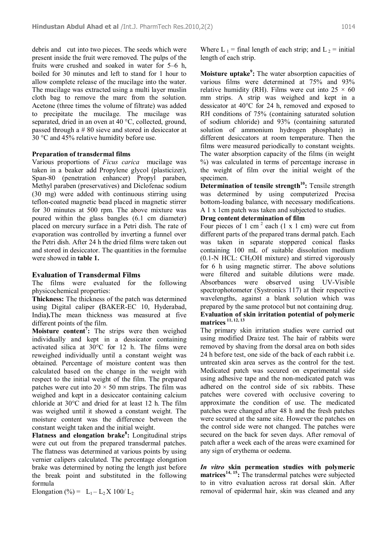debris and cut into two pieces. The seeds which were present inside the fruit were removed. The pulps of the fruits were crushed and soaked in water for 5–6 h, boiled for 30 minutes and left to stand for 1 hour to allow complete release of the mucilage into the water. The mucilage was extracted using a multi layer muslin cloth bag to remove the marc from the solution. Acetone (three times the volume of filtrate) was added to precipitate the mucilage. The mucilage was separated, dried in an oven at 40 °C, collected, ground, passed through a # 80 sieve and stored in desiccator at 30 °C and 45% relative humidity before use.

## **Preparation of transdermal films**

Various proportions of *Ficus carica* mucilage was taken in a beaker add Propylene glycol (plasticizer), Span-80 (penetration enhancer) Propyl paraben, Methyl paraben (preservatives) and Diclofenac sodium (30 mg) were added with continuous stirring using teflon-coated magnetic bead placed in magnetic stirrer for 30 minutes at 500 rpm. The above mixture was poured within the glass bangles (6.1 cm diameter) placed on mercury surface in a Petri dish. The rate of evaporation was controlled by inverting a funnel over the Petri dish. After 24 h the dried films were taken out and stored in desiccator. The quantities in the formulae were showed in **table 1.**

# **Evaluation of Transdermal Films**

The films were evaluated for the following physicochemical properties:

**Thickness:** The thickness of the patch was determined using Digital caliper **(**BAKER-EC 10, Hyderabad, India**).**The mean thickness was measured at five different points of the film.

**Moisture content<sup>7</sup> :** The strips were then weighed individually and kept in a dessicator containing activated silica at 30°C for 12 h. The films were reweighed individually until a constant weight was obtained. Percentage of moisture content was then calculated based on the change in the weight with respect to the initial weight of the film. The prepared patches were cut into  $20 \times 50$  mm strips. The film was weighed and kept in a desiccator containing calcium chloride at 30°C and dried for at least 12 h. The film was weighed until it showed a constant weight. The moisture content was the difference between the constant weight taken and the initial weight.

**Flatness and elongation brake<sup>8</sup> :** Longitudinal strips were cut out from the prepared transdermal patches. The flatness was determined at various points by using vernier calipers calculated. The percentage elongation brake was determined by noting the length just before the break point and substituted in the following formula

Elongation (%) =  $L_1 - L_2 X 100/L_2$ 

Where L<sub>1</sub> = final length of each strip; and L<sub>2</sub> = initial length of each strip.

**Moisture uptake<sup>9</sup> :** The water absorption capacities of various films were determined at 75% and 93% relative humidity (RH). Films were cut into  $25 \times 60$ mm strips. A strip was weighed and kept in a dessicator at 40°C for 24 h, removed and exposed to RH conditions of 75% (containing saturated solution of sodium chloride) and 93% (containing saturated solution of ammonium hydrogen phosphate) in different desiccators at room temperature. Then the films were measured periodically to constant weights. The water absorption capacity of the films (in weight %) was calculated in terms of percentage increase in the weight of film over the initial weight of the specimen.

**Determination of tensile strength<sup>10</sup>:** Tensile strength was determined by using computerized Precisa bottom-loading balance, with necessary modifications. A 1 x 1cm patch was taken and subjected to studies.

# **Drug content determination of film**

Four pieces of 1 cm<sup>2</sup> each (1 x 1 cm) were cut from different parts of the prepared trans dermal patch. Each was taken in separate stoppered conical flasks containing 100 mL of suitable dissolution medium  $(0.1-N$  HCL: CH<sub>3</sub>OH mixture) and stirred vigorously for 6 h using magnetic stirrer. The above solutions were filtered and suitable dilutions were made. Absorbances were observed using UV-Visible spectrophotometer (Systronics 117) at their respective wavelengths, against a blank solution which was prepared by the same protocol but not containing drug. **Evaluation of skin irritation potential of polymeric matrices 11, 12, 13**

The primary skin irritation studies were carried out using modified Draize test. The hair of rabbits were removed by shaving from the dorsal area on both sides 24 h before test, one side of the back of each rabbit i.e. untreated skin area serves as the control for the test. Medicated patch was secured on experimental side using adhesive tape and the non-medicated patch was adhered on the control side of six rabbits. These patches were covered with occlusive covering to approximate the condition of use. The medicated patches were changed after 48 h and the fresh patches were secured at the same site. However the patches on the control side were not changed. The patches were secured on the back for seven days. After removal of patch after a week each of the areas were examined for any sign of erythema or oedema.

*In vitro* **skin permeation studies with polymeric matrices14, 15:** The transdermal patches were subjected to in vitro evaluation across rat dorsal skin. After removal of epidermal hair, skin was cleaned and any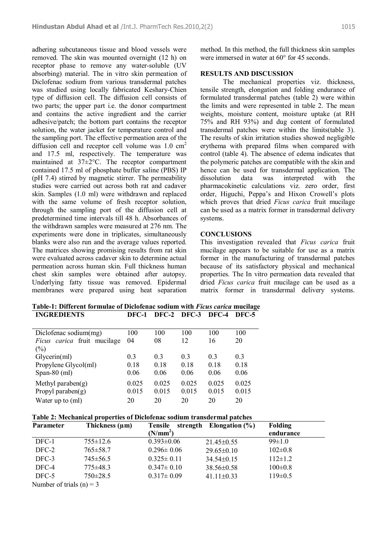adhering subcutaneous tissue and blood vessels were removed. The skin was mounted overnight (12 h) on receptor phase to remove any water-soluble (UV absorbing) material. The in vitro skin permeation of Diclofenac sodium from various transdermal patches was studied using locally fabricated Keshary-Chien type of diffusion cell. The diffusion cell consists of two parts; the upper part i.e. the donor compartment and contains the active ingredient and the carrier adhesive/patch; the bottom part contains the receptor solution, the water jacket for temperature control and the sampling port. The effective permeation area of the diffusion cell and receptor cell volume was  $1.0 \text{ cm}^2$ and 17.5 ml, respectively. The temperature was maintained at 37±2°C. The receptor compartment contained 17.5 ml of phosphate buffer saline (PBS) IP (pH 7.4) stirred by magnetic stirrer. The permeability studies were carried out across both rat and cadaver skin. Samples (1.0 ml) were withdrawn and replaced with the same volume of fresh receptor solution, through the sampling port of the diffusion cell at predetermined time intervals till 48 h. Absorbances of the withdrawn samples were measured at 276 nm. The experiments were done in triplicates, simultaneously blanks were also run and the average values reported. The matrices showing promising results from rat skin were evaluated across cadaver skin to determine actual permeation across human skin. Full thickness human chest skin samples were obtained after autopsy. Underlying fatty tissue was removed. Epidermal membranes were prepared using heat separation method. In this method, the full thickness skin samples were immersed in water at 60° for 45 seconds.

## **RESULTS AND DISCUSSION**

The mechanical properties viz. thickness, tensile strength, elongation and folding endurance of formulated transdermal patches (table 2) were within the limits and were represented in table 2. The mean weights, moisture content, moisture uptake (at RH 75% and RH 93%) and dug content of formulated transdermal patches were within the limits(table 3). The results of skin irritation studies showed negligible erythema with prepared films when compared with control (table 4). The absence of edema indicates that the polymeric patches are compatible with the skin and hence can be used for transdermal application. The dissolution data was interpreted with the pharmacokinetic calculations viz. zero order, first order, Higuchi, Peppa's and Hixon Crowell's plots which proves that dried *Ficus carica* fruit mucilage can be used as a matrix former in transdermal delivery systems.

#### **CONCLUSIONS**

This investigation revealed that *Ficus carica* fruit mucilage appears to be suitable for use as a matrix former in the manufacturing of transdermal patches because of its satisfactory physical and mechanical properties. The In vitro permeation data revealed that dried *Ficus carica* fruit mucilage can be used as a matrix former in transdermal delivery systems.

**Table-1: Different formulae of Diclofenac sodium with** *Ficus carica* **mucilage INGREDIENTS DFC-1 DFC-2 DFC-3 DFC-4 DFC-5**

| Diclofenac sodium(mg)              | 100   | 100            | 100            | 100            | 100   |
|------------------------------------|-------|----------------|----------------|----------------|-------|
| <i>Ficus carica</i> fruit mucilage | 04    | 08             | 12             | 16             | 20    |
| (%)                                |       |                |                |                |       |
| Glycerin(m!)                       | 0.3   | 0 <sup>3</sup> | 0 <sup>3</sup> | 0 <sub>3</sub> | 0.3   |
| Propylene Glycol(ml)               | 0.18  | 0.18           | 0.18           | 0.18           | 0.18  |
| Span-80 $(ml)$                     | 0.06  | 0.06           | 0.06           | 0.06           | 0.06  |
| Methyl paraben $(g)$               | 0.025 | 0.025          | 0.025          | 0.025          | 0.025 |
| Propyl paraben $(g)$               | 0.015 | 0.015          | 0.015          | 0.015          | 0.015 |
| Water up to (ml)                   | 20    | 20             | 20             | 20             | 20    |

#### **Table 2: Mechanical properties of Diclofenac sodium transdermal patches**

| Parameter                | Thickness $(\mu m)$ | <b>Tensile</b>       | strength Elongation $(\% )$ | <b>Folding</b> |
|--------------------------|---------------------|----------------------|-----------------------------|----------------|
|                          |                     | (N/mm <sup>2</sup> ) |                             | endurance      |
| DFC-1                    | $755 \pm 12.6$      | $0.393 \pm 0.06$     | $21.45 \pm 0.55$            | $99 \pm 1.0$   |
| DFC-2                    | $765 \pm 58.7$      | $0.296 \pm 0.06$     | $29.65 \pm 0.10$            | $102 \pm 0.8$  |
| DFC-3                    | $745 \pm 56.5$      | $0.325 \pm 0.11$     | $34.54 \pm 0.15$            | $112 \pm 1.2$  |
| DFC-4                    | $775 \pm 48.3$      | $0.347 \pm 0.10$     | 38.56±0.58                  | $100 \pm 0.8$  |
| DFC-5                    | $750 \pm 28.5$      | $0.317 \pm 0.09$     | $41.11 \pm 0.33$            | $119 \pm 0.5$  |
| Number of trials (n) = 3 |                     |                      |                             |                |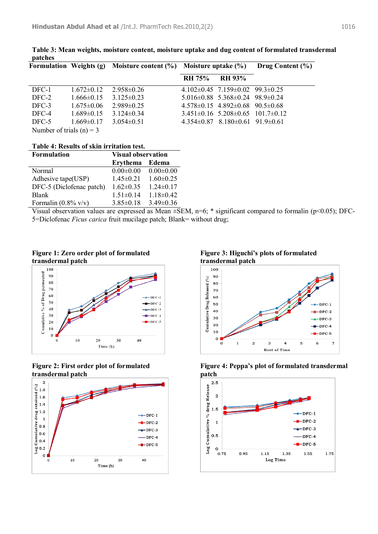|                            |                  | Formulation Weights (g) Moisture content $(\% )$ Moisture uptake $(\% )$ |               |                                                   | Drug Content $(\% )$ |
|----------------------------|------------------|--------------------------------------------------------------------------|---------------|---------------------------------------------------|----------------------|
|                            |                  |                                                                          | <b>RH 75%</b> | <b>RH 93%</b>                                     |                      |
| DFC-1                      | $1.672\pm0.12$   | $2.958 \pm 0.26$                                                         |               | $4.102\pm0.45$ 7.159 $\pm$ 0.02 99.3 $\pm$ 0.25   |                      |
| DFC-2                      | $1.666 \pm 0.15$ | $3.125 \pm 0.23$                                                         |               | $5.016 \pm 0.88$ $5.368 \pm 0.24$ $98.9 \pm 0.24$ |                      |
| DFC-3                      | $1.675 \pm 0.06$ | $2.989 \pm 0.25$                                                         |               | $4.578\pm0.15$ $4.892\pm0.68$ $90.5\pm0.68$       |                      |
| DFC-4                      | $1.689 \pm 0.15$ | $3.124 \pm 0.34$                                                         |               | $3.451\pm0.16$ $5.208\pm0.65$ $101.7\pm0.12$      |                      |
| DFC-5                      | $1.669 \pm 0.17$ | $3.054\pm0.51$                                                           |               | $4.354\pm0.87$ $8.180\pm0.61$ $91.9\pm0.61$       |                      |
| Number of trials $(n) = 3$ |                  |                                                                          |               |                                                   |                      |

**Table 3: Mean weights, moisture content, moisture uptake and dug content of formulated transdermal patches**

**Table 4: Results of skin irritation test.**

| <b>Formulation</b>             | <b>Visual observation</b> |                 |
|--------------------------------|---------------------------|-----------------|
|                                | <b>Erythema</b>           | Edema           |
| Normal                         | $0.00 \pm 0.00$           | $0.00 \pm 0.00$ |
| Adhesive tape(USP)             | $1.45 \pm 0.21$           | $1.60 \pm 0.25$ |
| DFC-5 (Diclofenac patch)       | $1.62 \pm 0.35$           | $1.24 \pm 0.17$ |
| <b>Blank</b>                   | $1.51 \pm 0.14$           | $1.18 \pm 0.42$ |
| Formalin $(0.8\% \text{ v/v})$ | $3.85 \pm 0.18$           | $3.49\pm0.36$   |

Visual observation values are expressed as Mean  $\pm$ SEM, n=6; \* significant compared to formalin (p<0.05); DFC-5=Diclofenac *Ficus carica* fruit mucilage patch; Blank= without drug;

**Figure 1: Zero order plot of formulated transdermal patch**







**Figure 3: Higuchi's plots of formulated transdermal patch**